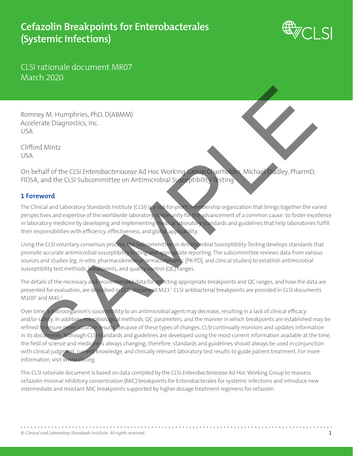# **Cefazolin Breakpoints for Enterobacterales (Systemic Infections)**



CLSI rationale document MR07 March 2020

Romney M. Humphries, PhD, D(ABMM) Accelerate Diagnostics, Inc. USA

Clifford Mintz USA

On behalf of the CLSI *Enterobacteriaceae* Ad Hoc Working Group Chairholder, Michael Dudley, PharmD, FIDSA, and the CLSI Subcommittee on Antimicrobial Susceptibility Testing

## **1 Foreword**

The Clinical and Laboratory Standards Institute (CLSI) is a not-for-profit membership organization that brings together the varied perspectives and expertise of the worldwide laboratory community for the advancement of a common cause: to foster excellence in laboratory medicine by developing and implementing medical laboratory standards and guidelines that help laboratories fulfill their responsibilities with efficiency, effectiveness, and global applicability.

Using the CLSI voluntary consensus process, the Subcommittee on Antimicrobial Susceptibility Testing develops standards that promote accurate antimicrobial susceptibility testing and appropriate reporting. The subcommittee reviews data from various sources and studies (eg, *in vitro*, pharmacokinetic-pharmacodynamic [PK-PD], and clinical studies) to establish antimicrobial susceptibility test methods, breakpoints, and quality control (QC) ranges.

The details of the necessary and recommended data for selecting appropriate breakpoints and QC ranges, and how the data are presented for evaluation, are described in CLSI document M23.<sup>1</sup> CLSI antibacterial breakpoints are provided in CLSI documents M100<sup>2</sup> and M45.<sup>3</sup>

Over time, a microorganism's susceptibility to an antimicrobial agent may decrease, resulting in a lack of clinical efficacy and/or safety. In addition, microbiological methods, QC parameters, and the manner in which breakpoints are established may be refined to ensure more accurate results. Because of these types of changes, CLSI continually monitors and updates information in its documents. Although CLSI standards and guidelines are developed using the most current information available at the time, the field of science and medicine is always changing; therefore, standards and guidelines should always be used in conjunction with clinical judgment, current knowledge, and clinically relevant laboratory test results to guide patient treatment. For more information, visit www.clsi.org. The CES Content and the CES Content and the CES Content and the CES Content and the CES Subcommittee on Antimicrobial Section of the CES Content and the CES Subcommittee on Antimicrobial Section of the CES Content and the

This CLSI rationale document is based on data compiled by the CLSI *Enterobacteriaceae* Ad Hoc Working Group to reassess cefazolin minimal inhibitory concentration (MIC) breakpoints for Enterobacterales for systemic infections and introduce new intermediate and resistant MIC breakpoints supported by higher dosage treatment regimens for cefazolin.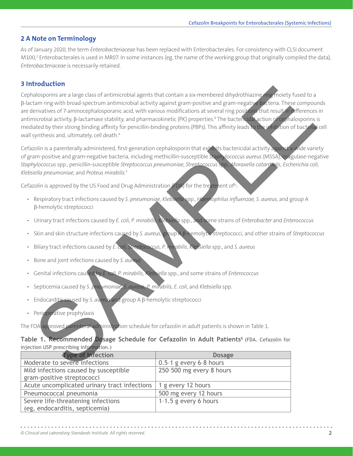### **2 A Note on Terminology**

As of January 2020, the term *Enterobacteriaceae* has been replaced with Enterobacterales. For consistency with CLSI document M100,<sup>2</sup> Enterobacterales is used in MR07. In some instances (eg, the name of the working group that originally compiled the data), *Enterobacteriaceae* is necessarily retained.

### **3 Introduction**

Cephalosporins are a large class of antimicrobial agents that contain a six-membered dihydrothiazine ring moiety fused to a β-lactam ring with broad-spectrum antimicrobial activity against gram-positive and gram-negative bacteria. These compounds are derivatives of 7-aminocephalosporanic acid, with various modifications at several ring positions that result in differences in antimicrobial activity, β-lactamase stability, and pharmacokinetic (PK) properties.<sup>4</sup> The bactencidal action of cephalosporins is mediated by their strong binding affinity for penicillin-binding proteins (PBPs). This affinity leads to the inhibition of bacterial cell wall synthesis and, ultimately, cell death.<sup>4</sup> informing with bood-good materials according and content in a skenenbeed dinydrohiazine connectly test to a<br>stateminic with bood-good materials activity against gram-positive and gram-regaliteration<br>intervalses of 7 animog

Cefazolin is a parenterally administered, first-generation cephalosporin that exhibits bactericidal activity against a wide variety of gram-positive and gram-negative bacteria, including methicillin-susceptible *Staphylococcus aureus* (MSSA), coagulase-negative *Staphylococcus* spp., penicillin-susceptible *Streptococcus pneumoniae*, *Streptococcus* spp., *Moraxella catarrhalis*, *Escherichia coli*, *Klebsiella pneumoniae*, and *Proteus mirabilis.*<sup>5</sup>

Cefazolin is approved by the US Food and Drug Administration (FDA) for the treatment of  $6$ :

- Respiratory tract infections caused by *S. pneumoniae, Klebsiella* spp., *Haemophilus influenzae, S. aureus*, and group A β-hemolytic streptococci
- Urinary tract infections caused by *E. coli, P. mirabilis, Klebsiella* spp., and some strains of *Enterobacter* and *Enterococcus*
- Skin and skin structure infections caused by *S. aureus*, group A β-hemolytic streptococci, and other strains of *Streptococcus*
- Biliary tract infections caused by *E. coli, Streptococcus, P. mirabilis, Klebsiella* spp., and *S. aureus*
- Bone and joint infections caused by *S. aureus*
- Genital infections caused by *E. coli, P. mirabilis, Klebsiella* spp., and some strains of *Enterococcus*
- Septicemia caused by *S. pneumoniae, S. aureus, P. mirabilis, E. coli,* and *Klebsiella* spp.
- Endocarditis caused by *S. aureus* and group A β-hemolytic streptococci
- Perioperative prophylaxis

The FDA-approved parenteral administration schedule for cefazolin in adult patients is shown in Table 1.

### **Table 1. Recommended Dosage Schedule for Cefazolin in Adult Patients**6 (FDA. Cefazolin for injection USP prescribing information.)

| <b>Type of Infection</b>                     | <b>Dosage</b>             |
|----------------------------------------------|---------------------------|
| Moderate to severe infections                | $0.5-1$ g every 6-8 hours |
| Mild infections caused by susceptible        | 250-500 mg every 8 hours  |
| gram-positive streptococci                   |                           |
| Acute uncomplicated urinary tract infections | 1 g every 12 hours        |
| Pneumococcal pneumonia                       | 500 mg every 12 hours     |
| Severe life-threatening infections           | 1-1.5 g every 6 hours     |
| (eg, endocarditis, septicemia)               |                           |

The predominant mechanisms of resistance to cefazolin in gram-negative bacteria include

agent for the treatment of many invasive and noninvasive infections caused by susceptible